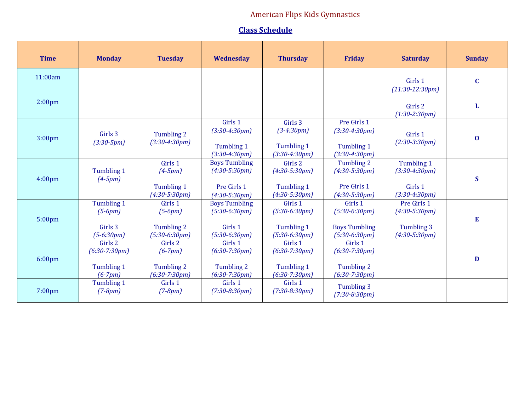## American Flips Kids Gymnastics

## **Class Schedule**

| <b>Time</b>        | <b>Monday</b>                                         | <b>Tuesday</b>                                        | Wednesday                                                                 | <b>Thursday</b>                                                    | <b>Friday</b>                                                         | <b>Saturday</b>                                                 | <b>Sunday</b> |
|--------------------|-------------------------------------------------------|-------------------------------------------------------|---------------------------------------------------------------------------|--------------------------------------------------------------------|-----------------------------------------------------------------------|-----------------------------------------------------------------|---------------|
| 11:00am            |                                                       |                                                       |                                                                           |                                                                    |                                                                       | Girls 1<br>$(11:30-12:30pm)$                                    | $\mathbf C$   |
| 2:00 <sub>pm</sub> |                                                       |                                                       |                                                                           |                                                                    |                                                                       | Girls 2<br>$(1:30-2:30pm)$                                      | L             |
| 3:00 <sub>pm</sub> | Girls 3<br>$(3:30-5pm)$                               | Tumbling 2<br>$(3:30-4:30pm)$                         | Girls 1<br>$(3:30-4:30pm)$<br>Tumbling 1<br>$(3:30-4:30pm)$               | Girls 3<br>$(3-4:30pm)$<br><b>Tumbling 1</b><br>$(3:30-4:30pm)$    | Pre Girls 1<br>$(3:30-4:30pm)$<br>Tumbling 1<br>$(3:30-4:30pm)$       | Girls 1<br>$(2:30-3:30pm)$                                      | $\bf{0}$      |
| 4:00 <sub>pm</sub> | Tumbling 1<br>$(4-5pm)$                               | Girls 1<br>$(4-5pm)$<br>Tumbling 1<br>$(4:30-5:30pm)$ | <b>Boys Tumbling</b><br>$(4:30-5:30pm)$<br>Pre Girls 1<br>$(4:30-5:30pm)$ | Girls 2<br>$(4:30-5:30pm)$<br>Tumbling 1<br>$(4:30-5:30pm)$        | Tumbling 2<br>$(4:30-5:30pm)$<br>Pre Girls 1<br>$(4:30-5:30pm)$       | Tumbling 1<br>$(3:30-4:30pm)$<br>Girls 1<br>$(3:30-4:30pm)$     | $\mathbf S$   |
| 5:00 <sub>pm</sub> | Tumbling 1<br>$(5-6pm)$<br>Girls 3<br>$(5-6:30pm)$    | Girls 1<br>$(5-6pm)$<br>Tumbling 2<br>$(5:30-6:30pm)$ | <b>Boys Tumbling</b><br>$(5:30-6:30pm)$<br>Girls 1<br>$(5:30-6:30pm)$     | Girls 1<br>$(5:30-6:30pm)$<br>Tumbling 1<br>$(5:30-6:30pm)$        | Girls 1<br>$(5:30-6:30pm)$<br><b>Boys Tumbling</b><br>$(5:30-6:30pm)$ | Pre Girls 1<br>$(4:30-5:30pm)$<br>Tumbling 3<br>$(4:30-5:30pm)$ | E             |
| 6:00 <sub>pm</sub> | Girls 2<br>$(6:30-7:30pm)$<br>Tumbling 1<br>$(6-7pm)$ | Girls 2<br>$(6-7pm)$<br>Tumbling 2<br>$(6:30-7:30pm)$ | Girls 1<br>$(6:30-7:30pm)$<br>Tumbling 2<br>$(6:30-7:30pm)$               | Girls 1<br>$(6:30-7:30pm)$<br><b>Tumbling 1</b><br>$(6:30-7:30pm)$ | Girls 1<br>$(6:30-7:30pm)$<br>Tumbling 2<br>$(6:30-7:30pm)$           |                                                                 | D             |
| 7:00 <sub>pm</sub> | Tumbling 1<br>$(7-8pm)$                               | Girls 1<br>$(7-8pm)$                                  | Girls 1<br>$(7:30-8:30pm)$                                                | Girls 1<br>$(7:30-8:30pm)$                                         | Tumbling 3<br>$(7:30-8:30pm)$                                         |                                                                 |               |